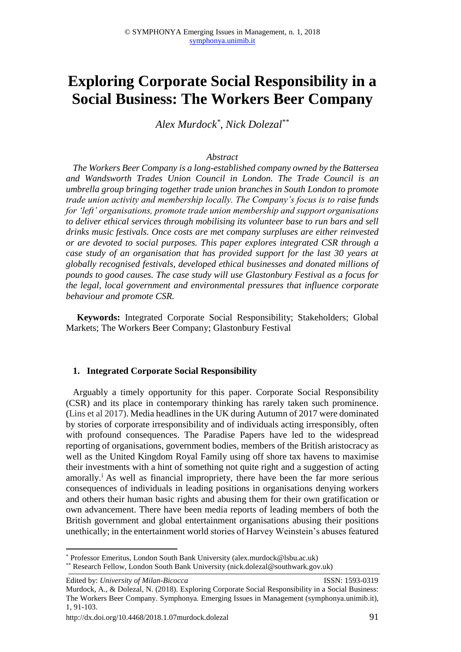# **Exploring Corporate Social Responsibility in a Social Business: The Workers Beer Company**

*Alex Murdock\* , Nick Dolezal\*\**

#### *Abstract*

 *The Workers Beer Company is a long-established company owned by the Battersea and Wandsworth Trades Union Council in London. The Trade Council is an umbrella group bringing together trade union branches in South London to promote trade union activity and membership locally. The Company's focus is to raise funds for 'left' organisations, promote trade union membership and support organisations to deliver ethical services through mobilising its volunteer base to run bars and sell drinks music festivals. Once costs are met company surpluses are either reinvested or are devoted to social purposes. This paper explores integrated CSR through a case study of an organisation that has provided support for the last 30 years at globally recognised festivals, developed ethical businesses and donated millions of pounds to good causes. The case study will use Glastonbury Festival as a focus for the legal, local government and environmental pressures that influence corporate behaviour and promote CSR.* 

**Keywords:** Integrated Corporate Social Responsibility; Stakeholders; Global Markets; The Workers Beer Company; Glastonbury Festival

#### **1. Integrated Corporate Social Responsibility**

 Arguably a timely opportunity for this paper. Corporate Social Responsibility (CSR) and its place in contemporary thinking has rarely taken such prominence. (Lins et al 2017). Media headlines in the UK during Autumn of 2017 were dominated by stories of corporate irresponsibility and of individuals acting irresponsibly, often with profound consequences. The Paradise Papers have led to the widespread reporting of organisations, government bodies, members of the British aristocracy as well as the United Kingdom Royal Family using off shore tax havens to maximise their investments with a hint of something not quite right and a suggestion of acting amorally.<sup>i</sup> As well as financial impropriety, there have been the far more serious consequences of individuals in leading positions in organisations denying workers and others their human basic rights and abusing them for their own gratification or own advancement. There have been media reports of leading members of both the British government and global entertainment organisations abusing their positions unethically; in the entertainment world stories of Harvey Weinstein's abuses featured

\*\* Research Fellow, London South Bank University (nick.dolezal@southwark.gov.uk)

-

<sup>\*</sup> Professor Emeritus, London South Bank University (alex.murdock@lsbu.ac.uk)

Edited by: *University of Milan-Bicocca* ISSN: 1593-0319 Murdock, A., & Dolezal, N. (2018). Exploring Corporate Social Responsibility in a Social Business: The Workers Beer Company. Symphonya. Emerging Issues in Management (symphonya.unimib.it), 1, 91-103.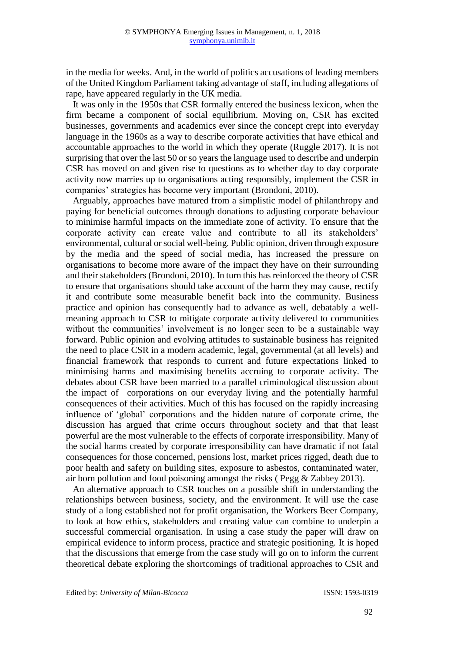in the media for weeks. And, in the world of politics accusations of leading members of the United Kingdom Parliament taking advantage of staff, including allegations of rape, have appeared regularly in the UK media.

 It was only in the 1950s that CSR formally entered the business lexicon, when the firm became a component of social equilibrium. Moving on, CSR has excited businesses, governments and academics ever since the concept crept into everyday language in the 1960s as a way to describe corporate activities that have ethical and accountable approaches to the world in which they operate (Ruggle 2017). It is not surprising that over the last 50 or so years the language used to describe and underpin CSR has moved on and given rise to questions as to whether day to day corporate activity now marries up to organisations acting responsibly, implement the CSR in companies' strategies has become very important (Brondoni, 2010).

 Arguably, approaches have matured from a simplistic model of philanthropy and paying for beneficial outcomes through donations to adjusting corporate behaviour to minimise harmful impacts on the immediate zone of activity. To ensure that the corporate activity can create value and contribute to all its stakeholders' environmental, cultural or social well-being. Public opinion, driven through exposure by the media and the speed of social media, has increased the pressure on organisations to become more aware of the impact they have on their surrounding and their stakeholders (Brondoni, 2010). In turn this has reinforced the theory of CSR to ensure that organisations should take account of the harm they may cause, rectify it and contribute some measurable benefit back into the community. Business practice and opinion has consequently had to advance as well, debatably a wellmeaning approach to CSR to mitigate corporate activity delivered to communities without the communities' involvement is no longer seen to be a sustainable way forward. Public opinion and evolving attitudes to sustainable business has reignited the need to place CSR in a modern academic, legal, governmental (at all levels) and financial framework that responds to current and future expectations linked to minimising harms and maximising benefits accruing to corporate activity. The debates about CSR have been married to a parallel criminological discussion about the impact of corporations on our everyday living and the potentially harmful consequences of their activities. Much of this has focused on the rapidly increasing influence of 'global' corporations and the hidden nature of corporate crime, the discussion has argued that crime occurs throughout society and that that least powerful are the most vulnerable to the effects of corporate irresponsibility. Many of the social harms created by corporate irresponsibility can have dramatic if not fatal consequences for those concerned, pensions lost, market prices rigged, death due to poor health and safety on building sites, exposure to asbestos, contaminated water, air born pollution and food poisoning amongst the risks ( Pegg & Zabbey 2013).

 An alternative approach to CSR touches on a possible shift in understanding the relationships between business, society, and the environment. It will use the case study of a long established not for profit organisation, the Workers Beer Company, to look at how ethics, stakeholders and creating value can combine to underpin a successful commercial organisation. In using a case study the paper will draw on empirical evidence to inform process, practice and strategic positioning. It is hoped that the discussions that emerge from the case study will go on to inform the current theoretical debate exploring the shortcomings of traditional approaches to CSR and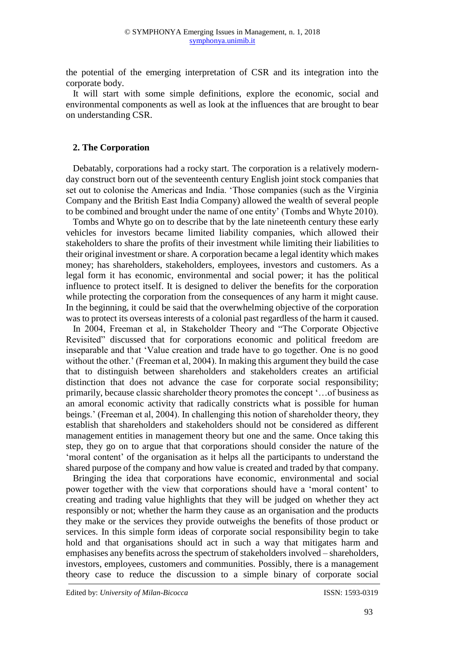the potential of the emerging interpretation of CSR and its integration into the corporate body.

 It will start with some simple definitions, explore the economic, social and environmental components as well as look at the influences that are brought to bear on understanding CSR.

#### **2. The Corporation**

 Debatably, corporations had a rocky start. The corporation is a relatively modernday construct born out of the seventeenth century English joint stock companies that set out to colonise the Americas and India. 'Those companies (such as the Virginia Company and the British East India Company) allowed the wealth of several people to be combined and brought under the name of one entity' (Tombs and Whyte 2010).

 Tombs and Whyte go on to describe that by the late nineteenth century these early vehicles for investors became limited liability companies, which allowed their stakeholders to share the profits of their investment while limiting their liabilities to their original investment or share. A corporation became a legal identity which makes money; has shareholders, stakeholders, employees, investors and customers. As a legal form it has economic, environmental and social power; it has the political influence to protect itself. It is designed to deliver the benefits for the corporation while protecting the corporation from the consequences of any harm it might cause. In the beginning, it could be said that the overwhelming objective of the corporation was to protect its overseas interests of a colonial past regardless of the harm it caused.

 In 2004, Freeman et al, in Stakeholder Theory and "The Corporate Objective Revisited" discussed that for corporations economic and political freedom are inseparable and that 'Value creation and trade have to go together. One is no good without the other.' (Freeman et al, 2004). In making this argument they build the case that to distinguish between shareholders and stakeholders creates an artificial distinction that does not advance the case for corporate social responsibility; primarily, because classic shareholder theory promotes the concept '…of business as an amoral economic activity that radically constricts what is possible for human beings.' (Freeman et al, 2004). In challenging this notion of shareholder theory, they establish that shareholders and stakeholders should not be considered as different management entities in management theory but one and the same. Once taking this step, they go on to argue that that corporations should consider the nature of the 'moral content' of the organisation as it helps all the participants to understand the shared purpose of the company and how value is created and traded by that company.

 Bringing the idea that corporations have economic, environmental and social power together with the view that corporations should have a 'moral content' to creating and trading value highlights that they will be judged on whether they act responsibly or not; whether the harm they cause as an organisation and the products they make or the services they provide outweighs the benefits of those product or services. In this simple form ideas of corporate social responsibility begin to take hold and that organisations should act in such a way that mitigates harm and emphasises any benefits across the spectrum of stakeholders involved – shareholders, investors, employees, customers and communities. Possibly, there is a management theory case to reduce the discussion to a simple binary of corporate social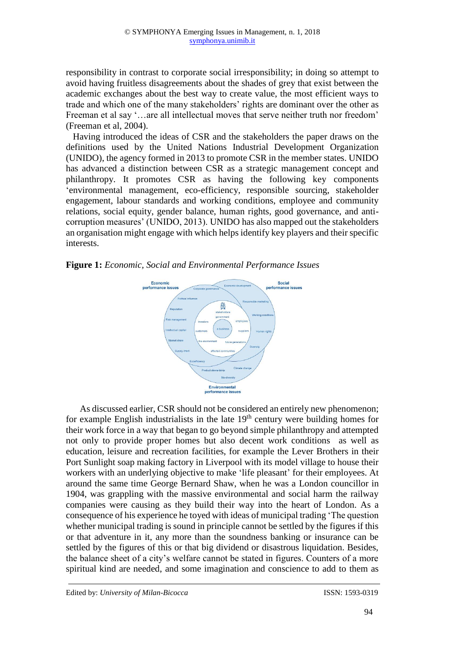responsibility in contrast to corporate social irresponsibility; in doing so attempt to avoid having fruitless disagreements about the shades of grey that exist between the academic exchanges about the best way to create value, the most efficient ways to trade and which one of the many stakeholders' rights are dominant over the other as Freeman et al say '…are all intellectual moves that serve neither truth nor freedom' (Freeman et al, 2004).

 Having introduced the ideas of CSR and the stakeholders the paper draws on the definitions used by the United Nations Industrial Development Organization (UNIDO), the agency formed in 2013 to promote CSR in the member states. UNIDO has advanced a distinction between CSR as a strategic management concept and philanthropy. It promotes CSR as having the following key components 'environmental management, eco-efficiency, responsible sourcing, stakeholder engagement, labour standards and working conditions, employee and community relations, social equity, gender balance, human rights, good governance, and anticorruption measures' (UNIDO, 2013). UNIDO has also mapped out the stakeholders an organisation might engage with which helps identify key players and their specific interests.

**Figure 1:** *Economic, Social and Environmental Performance Issues*



 As discussed earlier, CSR should not be considered an entirely new phenomenon; for example English industrialists in the late  $19<sup>th</sup>$  century were building homes for their work force in a way that began to go beyond simple philanthropy and attempted not only to provide proper homes but also decent work conditions as well as education, leisure and recreation facilities, for example the Lever Brothers in their Port Sunlight soap making factory in Liverpool with its model village to house their workers with an underlying objective to make 'life pleasant' for their employees. At around the same time George Bernard Shaw, when he was a London councillor in 1904, was grappling with the massive environmental and social harm the railway companies were causing as they build their way into the heart of London. As a consequence of his experience he toyed with ideas of municipal trading 'The question whether municipal trading is sound in principle cannot be settled by the figures if this or that adventure in it, any more than the soundness banking or insurance can be settled by the figures of this or that big dividend or disastrous liquidation. Besides, the balance sheet of a city's welfare cannot be stated in figures. Counters of a more spiritual kind are needed, and some imagination and conscience to add to them as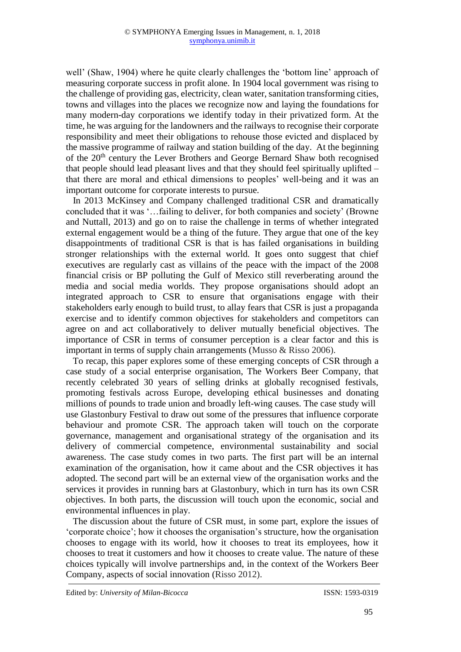well' (Shaw, 1904) where he quite clearly challenges the 'bottom line' approach of measuring corporate success in profit alone. In 1904 local government was rising to the challenge of providing gas, electricity, clean water, sanitation transforming cities, towns and villages into the places we recognize now and laying the foundations for many modern-day corporations we identify today in their privatized form. At the time, he was arguing for the landowners and the railways to recognise their corporate responsibility and meet their obligations to rehouse those evicted and displaced by the massive programme of railway and station building of the day. At the beginning of the 20th century the Lever Brothers and George Bernard Shaw both recognised that people should lead pleasant lives and that they should feel spiritually uplifted – that there are moral and ethical dimensions to peoples' well-being and it was an important outcome for corporate interests to pursue.

 In 2013 McKinsey and Company challenged traditional CSR and dramatically concluded that it was '…failing to deliver, for both companies and society' (Browne and Nuttall, 2013) and go on to raise the challenge in terms of whether integrated external engagement would be a thing of the future. They argue that one of the key disappointments of traditional CSR is that is has failed organisations in building stronger relationships with the external world. It goes onto suggest that chief executives are regularly cast as villains of the peace with the impact of the 2008 financial crisis or BP polluting the Gulf of Mexico still reverberating around the media and social media worlds. They propose organisations should adopt an integrated approach to CSR to ensure that organisations engage with their stakeholders early enough to build trust, to allay fears that CSR is just a propaganda exercise and to identify common objectives for stakeholders and competitors can agree on and act collaboratively to deliver mutually beneficial objectives. The importance of CSR in terms of consumer perception is a clear factor and this is important in terms of supply chain arrangements (Musso & Risso 2006).

 To recap, this paper explores some of these emerging concepts of CSR through a case study of a social enterprise organisation, The Workers Beer Company, that recently celebrated 30 years of selling drinks at globally recognised festivals, promoting festivals across Europe, developing ethical businesses and donating millions of pounds to trade union and broadly left-wing causes. The case study will use Glastonbury Festival to draw out some of the pressures that influence corporate behaviour and promote CSR. The approach taken will touch on the corporate governance, management and organisational strategy of the organisation and its delivery of commercial competence, environmental sustainability and social awareness. The case study comes in two parts. The first part will be an internal examination of the organisation, how it came about and the CSR objectives it has adopted. The second part will be an external view of the organisation works and the services it provides in running bars at Glastonbury, which in turn has its own CSR objectives. In both parts, the discussion will touch upon the economic, social and environmental influences in play.

 The discussion about the future of CSR must, in some part, explore the issues of 'corporate choice'; how it chooses the organisation's structure, how the organisation chooses to engage with its world, how it chooses to treat its employees, how it chooses to treat it customers and how it chooses to create value. The nature of these choices typically will involve partnerships and, in the context of the Workers Beer Company, aspects of social innovation (Risso 2012).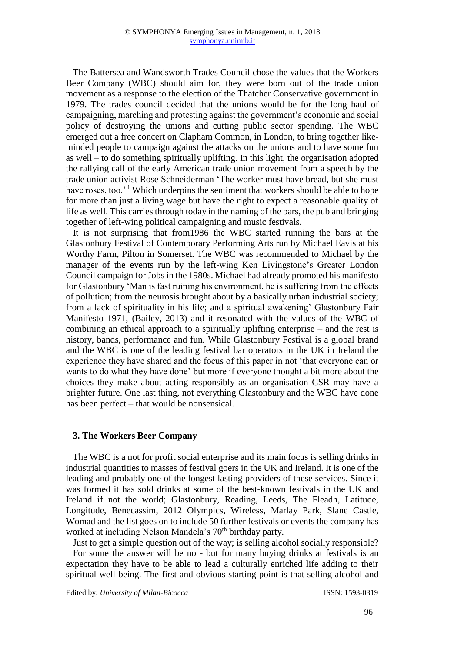The Battersea and Wandsworth Trades Council chose the values that the Workers Beer Company (WBC) should aim for, they were born out of the trade union movement as a response to the election of the Thatcher Conservative government in 1979. The trades council decided that the unions would be for the long haul of campaigning, marching and protesting against the government's economic and social policy of destroying the unions and cutting public sector spending. The WBC emerged out a free concert on Clapham Common, in London, to bring together likeminded people to campaign against the attacks on the unions and to have some fun as well – to do something spiritually uplifting. In this light, the organisation adopted the rallying call of the early American trade union movement from a speech by the trade union activist Rose Schneiderman 'The worker must have bread, but she must have roses, too.'ii Which underpins the sentiment that workers should be able to hope for more than just a living wage but have the right to expect a reasonable quality of life as well. This carries through today in the naming of the bars, the pub and bringing together of left-wing political campaigning and music festivals.

 It is not surprising that from1986 the WBC started running the bars at the Glastonbury Festival of Contemporary Performing Arts run by Michael Eavis at his Worthy Farm, Pilton in Somerset. The WBC was recommended to Michael by the manager of the events run by the left-wing Ken Livingstone's Greater London Council campaign for Jobs in the 1980s. Michael had already promoted his manifesto for Glastonbury 'Man is fast ruining his environment, he is suffering from the effects of pollution; from the neurosis brought about by a basically urban industrial society; from a lack of spirituality in his life; and a spiritual awakening' Glastonbury Fair Manifesto 1971, (Bailey, 2013) and it resonated with the values of the WBC of combining an ethical approach to a spiritually uplifting enterprise – and the rest is history, bands, performance and fun. While Glastonbury Festival is a global brand and the WBC is one of the leading festival bar operators in the UK in Ireland the experience they have shared and the focus of this paper in not 'that everyone can or wants to do what they have done' but more if everyone thought a bit more about the choices they make about acting responsibly as an organisation CSR may have a brighter future. One last thing, not everything Glastonbury and the WBC have done has been perfect – that would be nonsensical.

# **3. The Workers Beer Company**

 The WBC is a not for profit social enterprise and its main focus is selling drinks in industrial quantities to masses of festival goers in the UK and Ireland. It is one of the leading and probably one of the longest lasting providers of these services. Since it was formed it has sold drinks at some of the best-known festivals in the UK and Ireland if not the world; Glastonbury, Reading, Leeds, The Fleadh, Latitude, Longitude, Benecassim, 2012 Olympics, Wireless, Marlay Park, Slane Castle, Womad and the list goes on to include 50 further festivals or events the company has worked at including Nelson Mandela's 70<sup>th</sup> birthday party.

Just to get a simple question out of the way; is selling alcohol socially responsible?

 For some the answer will be no - but for many buying drinks at festivals is an expectation they have to be able to lead a culturally enriched life adding to their spiritual well-being. The first and obvious starting point is that selling alcohol and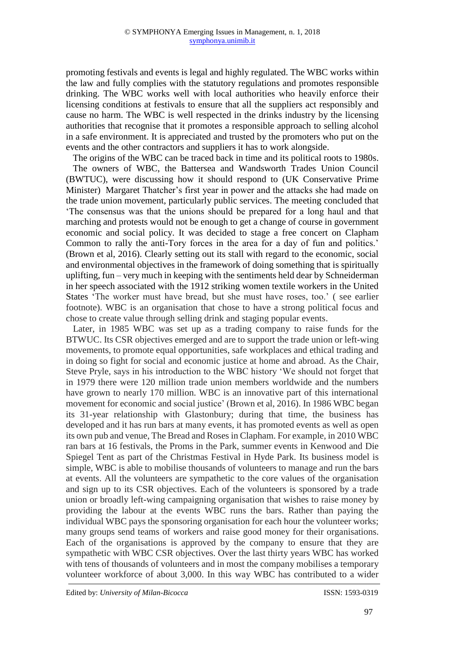promoting festivals and events is legal and highly regulated. The WBC works within the law and fully complies with the statutory regulations and promotes responsible drinking. The WBC works well with local authorities who heavily enforce their licensing conditions at festivals to ensure that all the suppliers act responsibly and cause no harm. The WBC is well respected in the drinks industry by the licensing authorities that recognise that it promotes a responsible approach to selling alcohol in a safe environment. It is appreciated and trusted by the promoters who put on the events and the other contractors and suppliers it has to work alongside.

 The origins of the WBC can be traced back in time and its political roots to 1980s. The owners of WBC, the Battersea and Wandsworth Trades Union Council (BWTUC), were discussing how it should respond to (UK Conservative Prime Minister) Margaret Thatcher's first year in power and the attacks she had made on the trade union movement, particularly public services. The meeting concluded that 'The consensus was that the unions should be prepared for a long haul and that marching and protests would not be enough to get a change of course in government economic and social policy. It was decided to stage a free concert on Clapham Common to rally the anti-Tory forces in the area for a day of fun and politics.' (Brown et al, 2016). Clearly setting out its stall with regard to the economic, social and environmental objectives in the framework of doing something that is spiritually uplifting, fun – very much in keeping with the sentiments held dear by Schneiderman in her speech associated with the 1912 striking women textile workers in the United States 'The worker must have bread, but she must have roses, too.' ( see earlier footnote). WBC is an organisation that chose to have a strong political focus and chose to create value through selling drink and staging popular events.

 Later, in 1985 WBC was set up as a trading company to raise funds for the BTWUC. Its CSR objectives emerged and are to support the trade union or left-wing movements, to promote equal opportunities, safe workplaces and ethical trading and in doing so fight for social and economic justice at home and abroad. As the Chair, Steve Pryle, says in his introduction to the WBC history 'We should not forget that in 1979 there were 120 million trade union members worldwide and the numbers have grown to nearly 170 million. WBC is an innovative part of this international movement for economic and social justice' (Brown et al, 2016). In 1986 WBC began its 31-year relationship with Glastonbury; during that time, the business has developed and it has run bars at many events, it has promoted events as well as open its own pub and venue, The Bread and Roses in Clapham. For example, in 2010 WBC ran bars at 16 festivals, the Proms in the Park, summer events in Kenwood and Die Spiegel Tent as part of the Christmas Festival in Hyde Park. Its business model is simple, WBC is able to mobilise thousands of volunteers to manage and run the bars at events. All the volunteers are sympathetic to the core values of the organisation and sign up to its CSR objectives. Each of the volunteers is sponsored by a trade union or broadly left-wing campaigning organisation that wishes to raise money by providing the labour at the events WBC runs the bars. Rather than paying the individual WBC pays the sponsoring organisation for each hour the volunteer works; many groups send teams of workers and raise good money for their organisations. Each of the organisations is approved by the company to ensure that they are sympathetic with WBC CSR objectives. Over the last thirty years WBC has worked with tens of thousands of volunteers and in most the company mobilises a temporary volunteer workforce of about 3,000. In this way WBC has contributed to a wider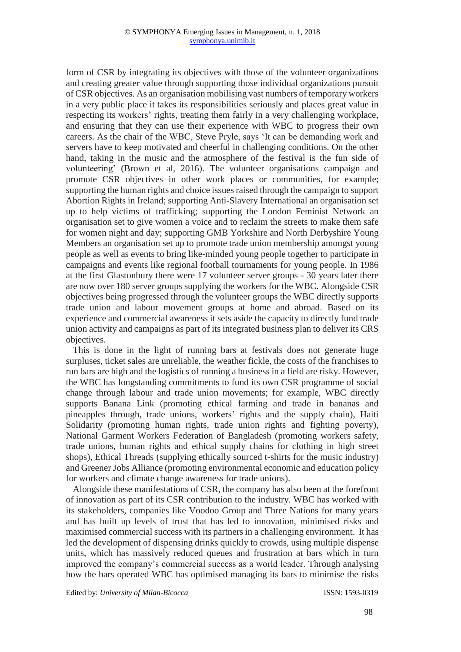form of CSR by integrating its objectives with those of the volunteer organizations and creating greater value through supporting those individual organizations pursuit of CSR objectives. As an organisation mobilising vast numbers of temporary workers in a very public place it takes its responsibilities seriously and places great value in respecting its workers' rights, treating them fairly in a very challenging workplace, and ensuring that they can use their experience with WBC to progress their own careers. As the chair of the WBC, Steve Pryle, says 'It can be demanding work and servers have to keep motivated and cheerful in challenging conditions. On the other hand, taking in the music and the atmosphere of the festival is the fun side of volunteering' (Brown et al, 2016). The volunteer organisations campaign and promote CSR objectives in other work places or communities, for example; supporting the human rights and choice issues raised through the campaign to support Abortion Rights in Ireland; supporting Anti-Slavery International an organisation set up to help victims of trafficking; supporting the London Feminist Network an organisation set to give women a voice and to reclaim the streets to make them safe for women night and day; supporting GMB Yorkshire and North Derbyshire Young Members an organisation set up to promote trade union membership amongst young people as well as events to bring like-minded young people together to participate in campaigns and events like regional football tournaments for young people. In 1986 at the first Glastonbury there were 17 volunteer server groups - 30 years later there are now over 180 server groups supplying the workers for the WBC. Alongside CSR objectives being progressed through the volunteer groups the WBC directly supports trade union and labour movement groups at home and abroad. Based on its experience and commercial awareness it sets aside the capacity to directly fund trade union activity and campaigns as part of its integrated business plan to deliver its CRS objectives.

 This is done in the light of running bars at festivals does not generate huge surpluses, ticket sales are unreliable, the weather fickle, the costs of the franchises to run bars are high and the logistics of running a business in a field are risky. However, the WBC has longstanding commitments to fund its own CSR programme of social change through labour and trade union movements; for example, WBC directly supports Banana Link (promoting ethical farming and trade in bananas and pineapples through, trade unions, workers' rights and the supply chain), Haiti Solidarity (promoting human rights, trade union rights and fighting poverty), National Garment Workers Federation of Bangladesh (promoting workers safety, trade unions, human rights and ethical supply chains for clothing in high street shops), Ethical Threads (supplying ethically sourced t-shirts for the music industry) and Greener Jobs Alliance (promoting environmental economic and education policy for workers and climate change awareness for trade unions).

 Alongside these manifestations of CSR, the company has also been at the forefront of innovation as part of its CSR contribution to the industry. WBC has worked with its stakeholders, companies like Voodoo Group and Three Nations for many years and has built up levels of trust that has led to innovation, minimised risks and maximised commercial success with its partners in a challenging environment. It has led the development of dispensing drinks quickly to crowds, using multiple dispense units, which has massively reduced queues and frustration at bars which in turn improved the company's commercial success as a world leader. Through analysing how the bars operated WBC has optimised managing its bars to minimise the risks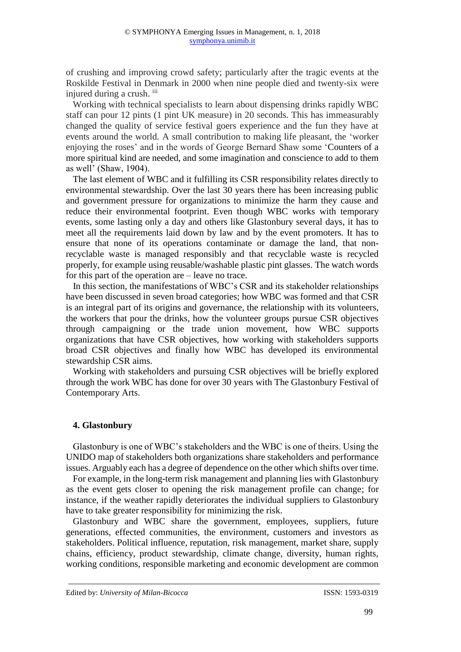of crushing and improving crowd safety; particularly after the tragic events at the Roskilde Festival in Denmark in 2000 when nine people died and twenty-six were injured during a crush. iii

 Working with technical specialists to learn about dispensing drinks rapidly WBC staff can pour 12 pints (1 pint UK measure) in 20 seconds. This has immeasurably changed the quality of service festival goers experience and the fun they have at events around the world. A small contribution to making life pleasant, the 'worker enjoying the roses' and in the words of George Bernard Shaw some 'Counters of a more spiritual kind are needed, and some imagination and conscience to add to them as well' (Shaw, 1904).

 The last element of WBC and it fulfilling its CSR responsibility relates directly to environmental stewardship. Over the last 30 years there has been increasing public and government pressure for organizations to minimize the harm they cause and reduce their environmental footprint. Even though WBC works with temporary events, some lasting only a day and others like Glastonbury several days, it has to meet all the requirements laid down by law and by the event promoters. It has to ensure that none of its operations contaminate or damage the land, that nonrecyclable waste is managed responsibly and that recyclable waste is recycled properly, for example using reusable/washable plastic pint glasses. The watch words for this part of the operation are – leave no trace.

 In this section, the manifestations of WBC's CSR and its stakeholder relationships have been discussed in seven broad categories; how WBC was formed and that CSR is an integral part of its origins and governance, the relationship with its volunteers, the workers that pour the drinks, how the volunteer groups pursue CSR objectives through campaigning or the trade union movement, how WBC supports organizations that have CSR objectives, how working with stakeholders supports broad CSR objectives and finally how WBC has developed its environmental stewardship CSR aims.

 Working with stakeholders and pursuing CSR objectives will be briefly explored through the work WBC has done for over 30 years with The Glastonbury Festival of Contemporary Arts.

# **4. Glastonbury**

 Glastonbury is one of WBC's stakeholders and the WBC is one of theirs. Using the UNIDO map of stakeholders both organizations share stakeholders and performance issues. Arguably each has a degree of dependence on the other which shifts over time.

 For example, in the long-term risk management and planning lies with Glastonbury as the event gets closer to opening the risk management profile can change; for instance, if the weather rapidly deteriorates the individual suppliers to Glastonbury have to take greater responsibility for minimizing the risk.

 Glastonbury and WBC share the government, employees, suppliers, future generations, effected communities, the environment, customers and investors as stakeholders. Political influence, reputation, risk management, market share, supply chains, efficiency, product stewardship, climate change, diversity, human rights, working conditions, responsible marketing and economic development are common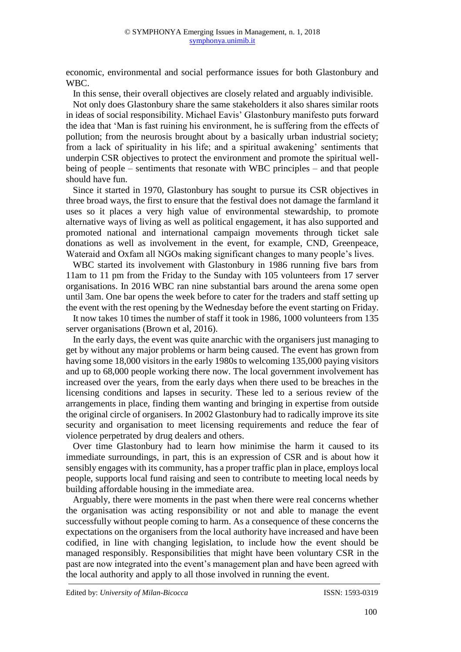economic, environmental and social performance issues for both Glastonbury and WBC.

In this sense, their overall objectives are closely related and arguably indivisible.

 Not only does Glastonbury share the same stakeholders it also shares similar roots in ideas of social responsibility. Michael Eavis' Glastonbury manifesto puts forward the idea that 'Man is fast ruining his environment, he is suffering from the effects of pollution; from the neurosis brought about by a basically urban industrial society; from a lack of spirituality in his life; and a spiritual awakening' sentiments that underpin CSR objectives to protect the environment and promote the spiritual wellbeing of people – sentiments that resonate with WBC principles – and that people should have fun.

 Since it started in 1970, Glastonbury has sought to pursue its CSR objectives in three broad ways, the first to ensure that the festival does not damage the farmland it uses so it places a very high value of environmental stewardship, to promote alternative ways of living as well as political engagement, it has also supported and promoted national and international campaign movements through ticket sale donations as well as involvement in the event, for example, CND, Greenpeace, Wateraid and Oxfam all NGOs making significant changes to many people's lives.

 WBC started its involvement with Glastonbury in 1986 running five bars from 11am to 11 pm from the Friday to the Sunday with 105 volunteers from 17 server organisations. In 2016 WBC ran nine substantial bars around the arena some open until 3am. One bar opens the week before to cater for the traders and staff setting up the event with the rest opening by the Wednesday before the event starting on Friday.

 It now takes 10 times the number of staff it took in 1986, 1000 volunteers from 135 server organisations (Brown et al, 2016).

 In the early days, the event was quite anarchic with the organisers just managing to get by without any major problems or harm being caused. The event has grown from having some 18,000 visitors in the early 1980s to welcoming 135,000 paying visitors and up to 68,000 people working there now. The local government involvement has increased over the years, from the early days when there used to be breaches in the licensing conditions and lapses in security. These led to a serious review of the arrangements in place, finding them wanting and bringing in expertise from outside the original circle of organisers. In 2002 Glastonbury had to radically improve its site security and organisation to meet licensing requirements and reduce the fear of violence perpetrated by drug dealers and others.

 Over time Glastonbury had to learn how minimise the harm it caused to its immediate surroundings, in part, this is an expression of CSR and is about how it sensibly engages with its community, has a proper traffic plan in place, employs local people, supports local fund raising and seen to contribute to meeting local needs by building affordable housing in the immediate area.

 Arguably, there were moments in the past when there were real concerns whether the organisation was acting responsibility or not and able to manage the event successfully without people coming to harm. As a consequence of these concerns the expectations on the organisers from the local authority have increased and have been codified, in line with changing legislation, to include how the event should be managed responsibly. Responsibilities that might have been voluntary CSR in the past are now integrated into the event's management plan and have been agreed with the local authority and apply to all those involved in running the event.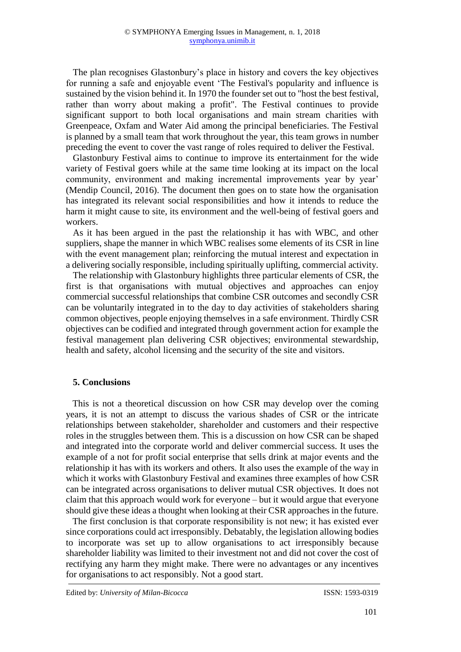The plan recognises Glastonbury's place in history and covers the key objectives for running a safe and enjoyable event 'The Festival's popularity and influence is sustained by the vision behind it. In 1970 the founder set out to "host the best festival, rather than worry about making a profit". The Festival continues to provide significant support to both local organisations and main stream charities with Greenpeace, Oxfam and Water Aid among the principal beneficiaries. The Festival is planned by a small team that work throughout the year, this team grows in number preceding the event to cover the vast range of roles required to deliver the Festival.

 Glastonbury Festival aims to continue to improve its entertainment for the wide variety of Festival goers while at the same time looking at its impact on the local community, environment and making incremental improvements year by year' (Mendip Council, 2016). The document then goes on to state how the organisation has integrated its relevant social responsibilities and how it intends to reduce the harm it might cause to site, its environment and the well-being of festival goers and workers.

 As it has been argued in the past the relationship it has with WBC, and other suppliers, shape the manner in which WBC realises some elements of its CSR in line with the event management plan; reinforcing the mutual interest and expectation in a delivering socially responsible, including spiritually uplifting, commercial activity.

 The relationship with Glastonbury highlights three particular elements of CSR, the first is that organisations with mutual objectives and approaches can enjoy commercial successful relationships that combine CSR outcomes and secondly CSR can be voluntarily integrated in to the day to day activities of stakeholders sharing common objectives, people enjoying themselves in a safe environment. Thirdly CSR objectives can be codified and integrated through government action for example the festival management plan delivering CSR objectives; environmental stewardship, health and safety, alcohol licensing and the security of the site and visitors.

# **5. Conclusions**

This is not a theoretical discussion on how CSR may develop over the coming years, it is not an attempt to discuss the various shades of CSR or the intricate relationships between stakeholder, shareholder and customers and their respective roles in the struggles between them. This is a discussion on how CSR can be shaped and integrated into the corporate world and deliver commercial success. It uses the example of a not for profit social enterprise that sells drink at major events and the relationship it has with its workers and others. It also uses the example of the way in which it works with Glastonbury Festival and examines three examples of how CSR can be integrated across organisations to deliver mutual CSR objectives. It does not claim that this approach would work for everyone – but it would argue that everyone should give these ideas a thought when looking at their CSR approaches in the future.

The first conclusion is that corporate responsibility is not new; it has existed ever since corporations could act irresponsibly. Debatably, the legislation allowing bodies to incorporate was set up to allow organisations to act irresponsibly because shareholder liability was limited to their investment not and did not cover the cost of rectifying any harm they might make. There were no advantages or any incentives for organisations to act responsibly. Not a good start.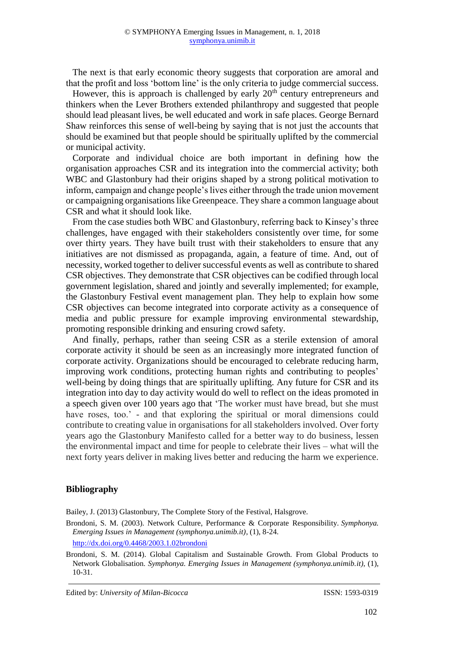The next is that early economic theory suggests that corporation are amoral and that the profit and loss 'bottom line' is the only criteria to judge commercial success.

However, this is approach is challenged by early  $20<sup>th</sup>$  century entrepreneurs and thinkers when the Lever Brothers extended philanthropy and suggested that people should lead pleasant lives, be well educated and work in safe places. George Bernard Shaw reinforces this sense of well-being by saying that is not just the accounts that should be examined but that people should be spiritually uplifted by the commercial or municipal activity.

Corporate and individual choice are both important in defining how the organisation approaches CSR and its integration into the commercial activity; both WBC and Glastonbury had their origins shaped by a strong political motivation to inform, campaign and change people's lives either through the trade union movement or campaigning organisations like Greenpeace. They share a common language about CSR and what it should look like.

From the case studies both WBC and Glastonbury, referring back to Kinsey's three challenges, have engaged with their stakeholders consistently over time, for some over thirty years. They have built trust with their stakeholders to ensure that any initiatives are not dismissed as propaganda, again, a feature of time. And, out of necessity, worked together to deliver successful events as well as contribute to shared CSR objectives. They demonstrate that CSR objectives can be codified through local government legislation, shared and jointly and severally implemented; for example, the Glastonbury Festival event management plan. They help to explain how some CSR objectives can become integrated into corporate activity as a consequence of media and public pressure for example improving environmental stewardship, promoting responsible drinking and ensuring crowd safety.

And finally, perhaps, rather than seeing CSR as a sterile extension of amoral corporate activity it should be seen as an increasingly more integrated function of corporate activity. Organizations should be encouraged to celebrate reducing harm, improving work conditions, protecting human rights and contributing to peoples' well-being by doing things that are spiritually uplifting. Any future for CSR and its integration into day to day activity would do well to reflect on the ideas promoted in a speech given over 100 years ago that 'The worker must have bread, but she must have roses, too.' - and that exploring the spiritual or moral dimensions could contribute to creating value in organisations for all stakeholders involved. Over forty years ago the Glastonbury Manifesto called for a better way to do business, lessen the environmental impact and time for people to celebrate their lives – what will the next forty years deliver in making lives better and reducing the harm we experience.

#### **Bibliography**

Bailey, J. (2013) Glastonbury, The Complete Story of the Festival, Halsgrove.

Brondoni, S. M. (2003). Network Culture, Performance & Corporate Responsibility. *Symphonya. Emerging Issues in Management (symphonya.unimib.it)*, (1), 8-24.

<http://dx.doi.org/0.4468/2003.1.02brondoni>

Brondoni, S. M. (2014). Global Capitalism and Sustainable Growth. From Global Products to Network Globalisation. *Symphonya. Emerging Issues in Management (symphonya.unimib.it)*, (1), 10-31.